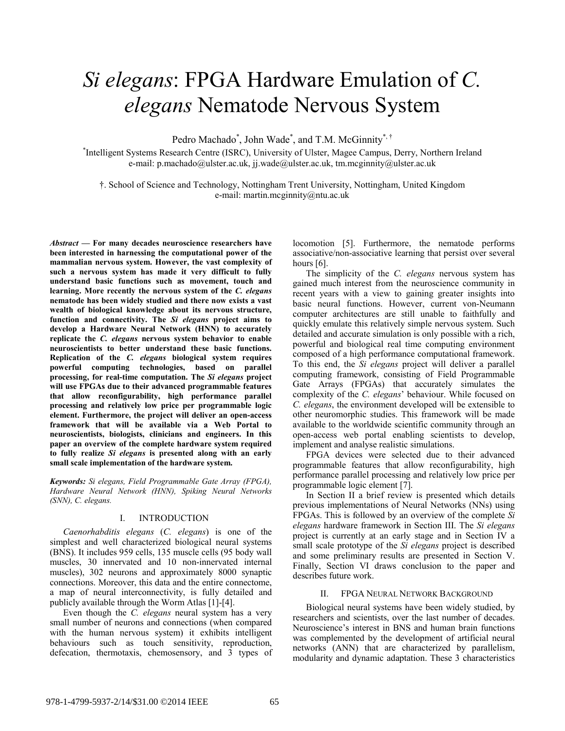# *Si elegans*: FPGA Hardware Emulation of *C. elegans* Nematode Nervous System

Pedro Machado<sup>\*</sup>, John Wade<sup>\*</sup>, and T.M. McGinnity<sup>\*, †</sup>

\* Intelligent Systems Research Centre (ISRC), University of Ulster, Magee Campus, Derry, Northern Ireland e-mail: p.machado@ulster.ac.uk, jj.wade@ulster.ac.uk, tm.mcginnity@ulster.ac.uk

†. School of Science and Technology, Nottingham Trent University, Nottingham, United Kingdom e-mail: martin.mcginnity@ntu.ac.uk

*Abstract* **— For many decades neuroscience researchers have been interested in harnessing the computational power of the mammalian nervous system. However, the vast complexity of such a nervous system has made it very difficult to fully understand basic functions such as movement, touch and learning. More recently the nervous system of the** *C. elegans* **nematode has been widely studied and there now exists a vast wealth of biological knowledge about its nervous structure, function and connectivity. The** *Si elegans* **project aims to develop a Hardware Neural Network (HNN) to accurately replicate the** *C. elegans* **nervous system behavior to enable neuroscientists to better understand these basic functions. Replication of the** *C. elegans* **biological system requires powerful computing technologies, based on parallel processing, for real-time computation. The** *Si elegans* **project will use FPGAs due to their advanced programmable features that allow reconfigurability, high performance parallel processing and relatively low price per programmable logic element. Furthermore, the project will deliver an open-access framework that will be available via a Web Portal to neuroscientists, biologists, clinicians and engineers. In this paper an overview of the complete hardware system required to fully realize** *Si elegans* **is presented along with an early small scale implementation of the hardware system.** 

*Keywords: Si elegans, Field Programmable Gate Array (FPGA), Hardware Neural Network (HNN), Spiking Neural Networks (SNN), C. elegans.*

## I. INTRODUCTION

*Caenorhabditis elegans* (*C. elegans*) is one of the simplest and well characterized biological neural systems (BNS). It includes 959 cells, 135 muscle cells (95 body wall muscles, 30 innervated and 10 non-innervated internal muscles), 302 neurons and approximately 8000 synaptic connections. Moreover, this data and the entire connectome, a map of neural interconnectivity, is fully detailed and publicly available through the Worm Atlas [1]-[4].

Even though the *C. elegans* neural system has a very small number of neurons and connections (when compared with the human nervous system) it exhibits intelligent behaviours such as touch sensitivity, reproduction, defecation, thermotaxis, chemosensory, and 3 types of

locomotion [5]. Furthermore, the nematode performs associative/non-associative learning that persist over several hours [6].

The simplicity of the *C. elegans* nervous system has gained much interest from the neuroscience community in recent years with a view to gaining greater insights into basic neural functions. However, current von-Neumann computer architectures are still unable to faithfully and quickly emulate this relatively simple nervous system. Such detailed and accurate simulation is only possible with a rich, powerful and biological real time computing environment composed of a high performance computational framework. To this end, the *Si elegans* project will deliver a parallel computing framework, consisting of Field Programmable Gate Arrays (FPGAs) that accurately simulates the complexity of the *C. elegans*' behaviour. While focused on *C. elegans*, the environment developed will be extensible to other neuromorphic studies. This framework will be made available to the worldwide scientific community through an open-access web portal enabling scientists to develop, implement and analyse realistic simulations.

FPGA devices were selected due to their advanced programmable features that allow reconfigurability, high performance parallel processing and relatively low price per programmable logic element [7].

In Section II a brief review is presented which details previous implementations of Neural Networks (NNs) using FPGAs. This is followed by an overview of the complete *Si elegans* hardware framework in Section III. The *Si elegans* project is currently at an early stage and in Section IV a small scale prototype of the *Si elegans* project is described and some preliminary results are presented in Section V. Finally, Section VI draws conclusion to the paper and describes future work.

## II. FPGA NEURAL NETWORK BACKGROUND

Biological neural systems have been widely studied, by researchers and scientists, over the last number of decades. Neuroscience's interest in BNS and human brain functions was complemented by the development of artificial neural networks (ANN) that are characterized by parallelism, modularity and dynamic adaptation. These 3 characteristics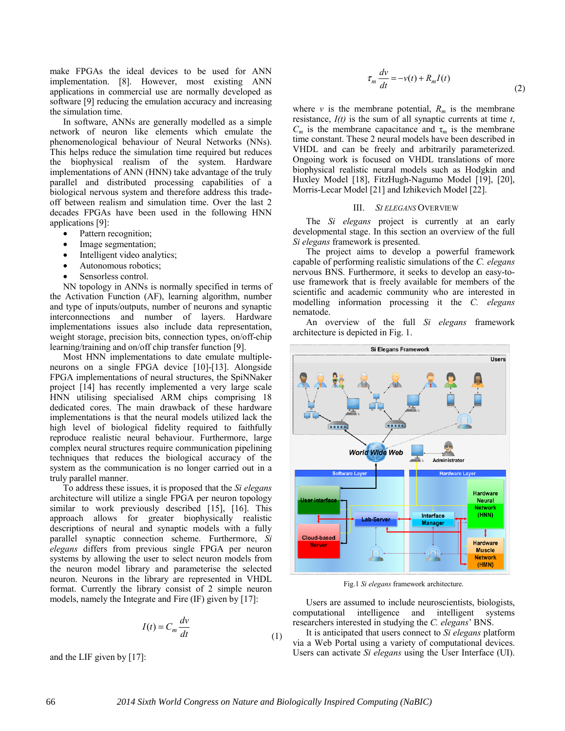make FPGAs the ideal devices to be used for ANN implementation. [8]. However, most existing ANN applications in commercial use are normally developed as software [9] reducing the emulation accuracy and increasing the simulation time.

In software, ANNs are generally modelled as a simple network of neuron like elements which emulate the phenomenological behaviour of Neural Networks (NNs). This helps reduce the simulation time required but reduces the biophysical realism of the system. Hardware implementations of ANN (HNN) take advantage of the truly parallel and distributed processing capabilities of a biological nervous system and therefore address this tradeoff between realism and simulation time. Over the last 2 decades FPGAs have been used in the following HNN applications [9]:

- Pattern recognition;
- Image segmentation;
- Intelligent video analytics;
- Autonomous robotics;
- Sensorless control.

NN topology in ANNs is normally specified in terms of the Activation Function (AF), learning algorithm, number and type of inputs/outputs, number of neurons and synaptic interconnections and number of layers. Hardware implementations issues also include data representation, weight storage, precision bits, connection types, on/off-chip learning/training and on/off chip transfer function [9].

Most HNN implementations to date emulate multipleneurons on a single FPGA device [10]-[13]. Alongside FPGA implementations of neural structures, the SpiNNaker project [14] has recently implemented a very large scale HNN utilising specialised ARM chips comprising 18 dedicated cores. The main drawback of these hardware implementations is that the neural models utilized lack the high level of biological fidelity required to faithfully reproduce realistic neural behaviour. Furthermore, large complex neural structures require communication pipelining techniques that reduces the biological accuracy of the system as the communication is no longer carried out in a truly parallel manner.

To address these issues, it is proposed that the *Si elegans* architecture will utilize a single FPGA per neuron topology similar to work previously described [15], [16]. This approach allows for greater biophysically realistic descriptions of neural and synaptic models with a fully parallel synaptic connection scheme. Furthermore, *Si elegans* differs from previous single FPGA per neuron systems by allowing the user to select neuron models from the neuron model library and parameterise the selected neuron. Neurons in the library are represented in VHDL format. Currently the library consist of 2 simple neuron models, namely the Integrate and Fire (IF) given by [17]:

$$
I(t) = C_m \frac{dv}{dt}
$$
 (1)

and the LIF given by [17]:

$$
\tau_m \frac{dv}{dt} = -v(t) + R_m I(t)
$$
\n(2)

where  $v$  is the membrane potential,  $R_m$  is the membrane resistance, *I(t)* is the sum of all synaptic currents at time *t*,  $C_m$  is the membrane capacitance and  $\tau_m$  is the membrane time constant. These 2 neural models have been described in VHDL and can be freely and arbitrarily parameterized. Ongoing work is focused on VHDL translations of more biophysical realistic neural models such as Hodgkin and Huxley Model [18], FitzHugh-Nagumo Model [19], [20], Morris-Lecar Model [21] and Izhikevich Model [22].

#### III. *SI ELEGANS* OVERVIEW

The *Si elegans* project is currently at an early developmental stage. In this section an overview of the full *Si elegans* framework is presented.

The project aims to develop a powerful framework capable of performing realistic simulations of the *C. elegans* nervous BNS. Furthermore, it seeks to develop an easy-touse framework that is freely available for members of the scientific and academic community who are interested in modelling information processing it the *C. elegans* nematode.

An overview of the full *Si elegans* framework architecture is depicted in Fig. 1.



Fig.1 *Si elegans* framework architecture.

Users are assumed to include neuroscientists, biologists, computational intelligence and intelligent systems researchers interested in studying the *C. elegans*' BNS.

It is anticipated that users connect to *Si elegans* platform via a Web Portal using a variety of computational devices. Users can activate *Si elegans* using the User Interface (UI).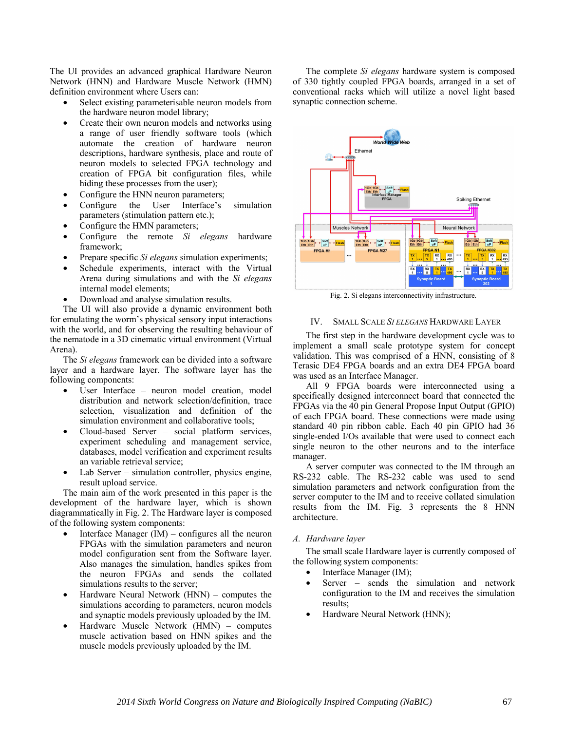The UI provides an advanced graphical Hardware Neuron Network (HNN) and Hardware Muscle Network (HMN) definition environment where Users can:

- Select existing parameterisable neuron models from the hardware neuron model library;
- Create their own neuron models and networks using a range of user friendly software tools (which automate the creation of hardware neuron descriptions, hardware synthesis, place and route of neuron models to selected FPGA technology and creation of FPGA bit configuration files, while hiding these processes from the user);
- Configure the HNN neuron parameters;
- Configure the User Interface's simulation parameters (stimulation pattern etc.);
- Configure the HMN parameters;
- Configure the remote *Si elegans* hardware framework;
- Prepare specific *Si elegans* simulation experiments;
- Schedule experiments, interact with the Virtual Arena during simulations and with the *Si elegans* internal model elements;
- Download and analyse simulation results.

The UI will also provide a dynamic environment both for emulating the worm's physical sensory input interactions with the world, and for observing the resulting behaviour of the nematode in a 3D cinematic virtual environment (Virtual Arena).

The *Si elegans* framework can be divided into a software layer and a hardware layer. The software layer has the following components:

- User Interface neuron model creation, model distribution and network selection/definition, trace selection, visualization and definition of the simulation environment and collaborative tools;
- Cloud-based Server social platform services, experiment scheduling and management service, databases, model verification and experiment results an variable retrieval service;
- Lab Server  $-$  simulation controller, physics engine, result upload service.

The main aim of the work presented in this paper is the development of the hardware layer, which is shown diagrammatically in Fig. 2. The Hardware layer is composed of the following system components:

- Interface Manager  $(IM)$  configures all the neuron FPGAs with the simulation parameters and neuron model configuration sent from the Software layer. Also manages the simulation, handles spikes from the neuron FPGAs and sends the collated simulations results to the server;
- Hardware Neural Network (HNN) computes the simulations according to parameters, neuron models and synaptic models previously uploaded by the IM.
- Hardware Muscle Network (HMN) computes muscle activation based on HNN spikes and the muscle models previously uploaded by the IM.

The complete *Si elegans* hardware system is composed of 330 tightly coupled FPGA boards, arranged in a set of conventional racks which will utilize a novel light based synaptic connection scheme.



Fig. 2. Si elegans interconnectivity infrastructure.

## IV. SMALL SCALE *SI ELEGANS* HARDWARE LAYER

The first step in the hardware development cycle was to implement a small scale prototype system for concept validation. This was comprised of a HNN, consisting of 8 Terasic DE4 FPGA boards and an extra DE4 FPGA board was used as an Interface Manager.

All 9 FPGA boards were interconnected using a specifically designed interconnect board that connected the FPGAs via the 40 pin General Propose Input Output (GPIO) of each FPGA board. These connections were made using standard 40 pin ribbon cable. Each 40 pin GPIO had 36 single-ended I/Os available that were used to connect each single neuron to the other neurons and to the interface manager.

A server computer was connected to the IM through an RS-232 cable. The RS-232 cable was used to send simulation parameters and network configuration from the server computer to the IM and to receive collated simulation results from the IM. Fig. 3 represents the 8 HNN architecture.

## *A. Hardware layer*

The small scale Hardware layer is currently composed of the following system components:

- Interface Manager (IM);
- Server sends the simulation and network configuration to the IM and receives the simulation results;
- Hardware Neural Network (HNN);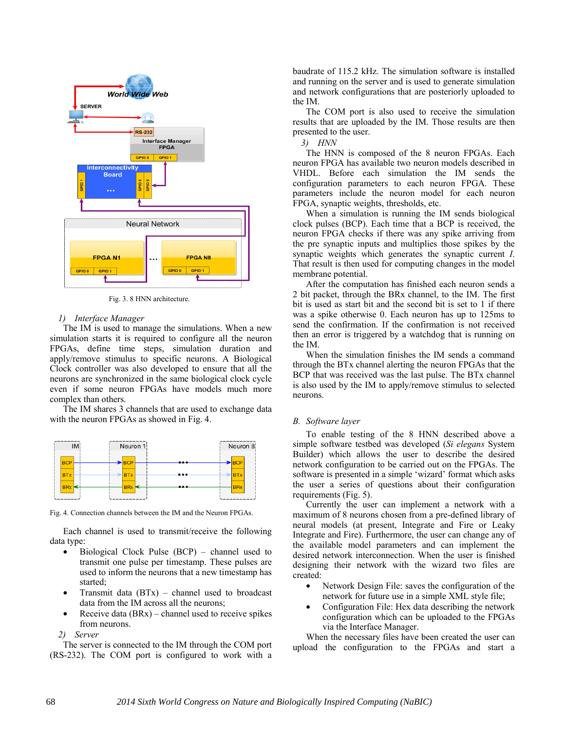

Fig. 3. 8 HNN architecture.

## *1) Interface Manager*

The IM is used to manage the simulations. When a new simulation starts it is required to configure all the neuron FPGAs, define time steps, simulation duration and apply/remove stimulus to specific neurons. A Biological Clock controller was also developed to ensure that all the neurons are synchronized in the same biological clock cycle even if some neuron FPGAs have models much more complex than others.

The IM shares 3 channels that are used to exchange data with the neuron FPGAs as showed in Fig. 4.



Fig. 4. Connection channels between the IM and the Neuron FPGAs.

Each channel is used to transmit/receive the following data type:

- Biological Clock Pulse (BCP) channel used to transmit one pulse per timestamp. These pulses are used to inform the neurons that a new timestamp has started;
- Transmit data (BTx) channel used to broadcast data from the IM across all the neurons;
- Receive data  $(BRx)$  channel used to receive spikes from neurons.
- *2) Server*

The server is connected to the IM through the COM port (RS-232). The COM port is configured to work with a

baudrate of 115.2 kHz. The simulation software is installed and running on the server and is used to generate simulation and network configurations that are posteriorly uploaded to the IM.

The COM port is also used to receive the simulation results that are uploaded by the IM. Those results are then presented to the user.

*3) HNN* 

The HNN is composed of the 8 neuron FPGAs. Each neuron FPGA has available two neuron models described in VHDL. Before each simulation the IM sends the configuration parameters to each neuron FPGA. These parameters include the neuron model for each neuron FPGA, synaptic weights, thresholds, etc.

When a simulation is running the IM sends biological clock pulses (BCP). Each time that a BCP is received, the neuron FPGA checks if there was any spike arriving from the pre synaptic inputs and multiplies those spikes by the synaptic weights which generates the synaptic current *I*. That result is then used for computing changes in the model membrane potential.

After the computation has finished each neuron sends a 2 bit packet, through the BRx channel, to the IM. The first bit is used as start bit and the second bit is set to 1 if there was a spike otherwise 0. Each neuron has up to 125ms to send the confirmation. If the confirmation is not received then an error is triggered by a watchdog that is running on the IM.

When the simulation finishes the IM sends a command through the BTx channel alerting the neuron FPGAs that the BCP that was received was the last pulse. The BTx channel is also used by the IM to apply/remove stimulus to selected neurons.

## *B. Software layer*

To enable testing of the 8 HNN described above a simple software testbed was developed (*Si elegans* System Builder) which allows the user to describe the desired network configuration to be carried out on the FPGAs. The software is presented in a simple 'wizard' format which asks the user a series of questions about their configuration requirements (Fig. 5).

Currently the user can implement a network with a maximum of 8 neurons chosen from a pre-defined library of neural models (at present, Integrate and Fire or Leaky Integrate and Fire). Furthermore, the user can change any of the available model parameters and can implement the desired network interconnection. When the user is finished designing their network with the wizard two files are created:

- Network Design File: saves the configuration of the network for future use in a simple XML style file;
- Configuration File: Hex data describing the network configuration which can be uploaded to the FPGAs via the Interface Manager.

When the necessary files have been created the user can upload the configuration to the FPGAs and start a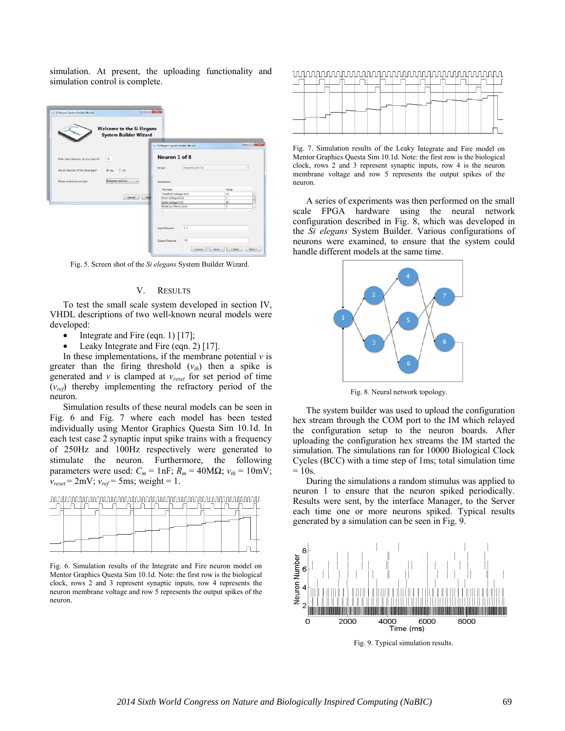simulation. At present, the uploading functionality and simulation control is complete.

|                                                                    | Si Elegans System Builder Wizard             | <b>ACCIDENT</b>     |
|--------------------------------------------------------------------|----------------------------------------------|---------------------|
| How many Neurons do you require?<br>$\rm{g}$                       | Neuron 1 of 8                                |                     |
| Are all Neurons of the same type?<br>O No<br>@ Yes                 | Integrate and Fire<br>Model                  | ٠                   |
| Integrate and Fire<br>Please select neuron type:<br>Cancel<br>Next | Parameters:                                  |                     |
|                                                                    | Parmeter                                     | <b>Value</b>        |
|                                                                    | Threshold Voltage (mV)                       | 10                  |
|                                                                    | Reset Voltage (mV)                           | $\overline{2}$<br>E |
|                                                                    | Spike Voltage (mV)<br>Refractory Period (ms) | 50<br>s.            |
|                                                                    |                                              |                     |
|                                                                    | 2.3<br><b>Input Neurons</b>                  |                     |

Fig. 5. Screen shot of the *Si elegans* System Builder Wizard.

## V. RESULTS

To test the small scale system developed in section IV, VHDL descriptions of two well-known neural models were developed:

- Integrate and Fire (eqn. 1)  $[17]$ ;
- Leaky Integrate and Fire (eqn. 2) [17].

In these implementations, if the membrane potential  $\nu$  is greater than the firing threshold  $(v_{th})$  then a spike is generated and  $v$  is clamped at  $v_{reset}$  for set period of time  $(v_{ref})$  thereby implementing the refractory period of the neuron.

Simulation results of these neural models can be seen in Fig. 6 and Fig. 7 where each model h has been tested individually using Mentor Graphics Questa a Sim 10.1d. In each test case 2 synaptic input spike trains with a frequency of 250Hz and 100Hz respectively wer re generated to stimulate the neuron. Furthermore, the following parameters were used:  $C_m = 1 \text{ nF}$ ;  $R_m = 40 \text{ M}\Omega$ ;  $v_{th} = 10 \text{ mV}$ ;  $v_{reset} = 2mV$ ;  $v_{ref} = 5ms$ ; weight = 1.



Fig. 6. Simulation results of the Integrate and Fire neuron model on Mentor Graphics Questa Sim 10.1d. Note: the first row is the biological clock, rows 2 and 3 represent synaptic inputs, row 4 represents the neuron membrane voltage and row 5 represents the output spikes of the neuron.



Fig. 7. Simulation results of the Leaky Integrate and Fire model on Mentor Graphics Questa Sim 10.1d. Note: the first row is the biological clock, rows  $2$  and  $3$  represent synaptic inputs, row  $4$  is the neuron membrane voltage and row 5 represents the output spikes of the neuron.

A series of experiments was then performed on the small scale FPGA hardware using the neural network configuration described in Fig. 8, which was developed in the *Si elegans* System Builder. Various configurations of neurons were examined, to ensure that the system could handle different models at the same time.



Fig. 8. Neural network topology.

The system builder was used to upload the configuration hex stream through the COM port to the IM which relayed the configuration setup to the neuron boards. After uploading the configuration hex streams the IM started the simulation. The simulations ran for 10000 Biological Clock Cycles (BCC) with a time step of 1 1ms; total simulation time  $= 10s$ .

During the simulations a random stimulus was applied to neuron 1 to ensure that the neuron spiked periodically. Results were sent, by the interface Manager, to the Server each time one or more neurons spiked. Typical results generated by a simulation can be seen in Fig. 9.



Fig. 9. Typical simulation results.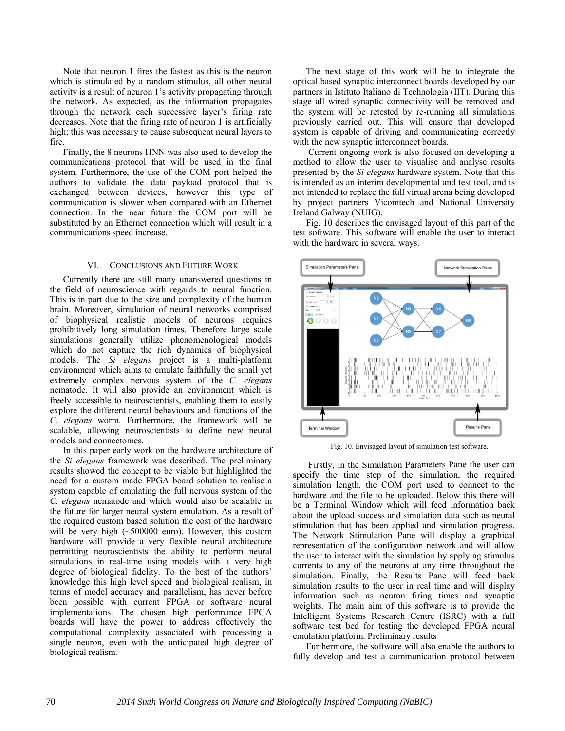Note that neuron 1 fires the fastest as this is the neuron which is stimulated by a random stimulus, all other neural activity is a result of neuron 1's activity prop pagating through the network. As expected, as the information propagates through the network each successive layer's firing rate decreases. Note that the firing rate of neuron 1 is artificially high; this was necessary to cause subsequent neural layers to fire.

Finally, the 8 neurons HNN was also used to develop the communications protocol that will be used in the final system. Furthermore, the use of the COM port helped the authors to validate the data payload p protocol that is exchanged between devices, however this type of communication is slower when compared with an Ethernet connection. In the near future the COM port will be substituted by an Ethernet connection which will result in a communications speed increase.

## VI. CONCLUSIONS AND FUTURE WORK

Currently there are still many unanswered questions in the field of neuroscience with regards to neural function. This is in part due to the size and complexity of the human brain. Moreover, simulation of neural networks comprised of biophysical realistic models of neurons requires prohibitively long simulation times. Therefore large scale simulations generally utilize phenomenological models which do not capture the rich dynamics of biophysical models. The *Si elegans* project is a multi-platform environment which aims to emulate faithfully the small yet extremely complex nervous system of the *C. elegans* nematode. It will also provide an enviro nment which is freely accessible to neuroscientists, enabling them to easily explore the different neural behaviours and functions of the C. elegans worm. Furthermore, the framework will be scalable, allowing neuroscientists to define new neural models and connectomes.

In this paper early work on the hardware architecture of the *Si elegans* framework was described. The preliminary results showed the concept to be viable but highlighted the need for a custom made FPGA board solution to realise a system capable of emulating the full nervous system of the C. elegans nematode and which would also be scalable in the future for larger neural system emulation. As a result of the required custom based solution the cost of the hardware will be very high  $(\sim 500000$  euro). However, this custom hardware will provide a very flexible neural architecture permitting neuroscientists the ability to perform neural simulations in real-time using models with a very high degree of biological fidelity. To the best of the authors' knowledge this high level speed and biolo gical realism, in terms of model accuracy and parallelism, h has never before been possible with current FPGA or software neural implementations. The chosen high performance FPGA boards will have the power to address effectively the computational complexity associated with processing a single neuron, even with the anticipated high degree of biological realism.

The next stage of this work will be to integrate the optical based synaptic interconnect boards developed by our partners in Istituto Italiano di Technologia (IIT). During this stage all wired synaptic connectivity will be removed and the system will be retested by re-running all simulations previously carried out. This will ensure that developed system is capable of driving and communicating correctly with the new synaptic interconnect boards.

 Current ongoing work is also focused on developing a method to allow the user to visualise and analyse results presented by the *Si elegans* hardware system. Note that this is intended as an interim developmental and test tool, and is not intended to replace the full virtual arena being developed by project partners Vicomtech a and National University Ireland Galway (NUIG).

Fig. 10 describes the envisaged layout of this part of the test software. This software will enable the user to interact with the hardware in several ways.



Fig. 10. Envisaged layout of simulation test software.

Firstly, in the Simulation Parameters Pane the user can specify the time step of the s simulation, the required simulation length, the COM port used to connect to the hardware and the file to be uploaded. Below this there will be a Terminal Window which wi ll feed information back about the upload success and simulation data such as neural stimulation that has been applied and simulation progress. The Network Stimulation Pane will display a graphical representation of the configuration network and will allow the user to interact with the simulation by applying stimulus currents to any of the neurons at any time throughout the simulation. Finally, the Results Pane will feed back simulation results to the user in real time and will display information such as neuron firi ing times and synaptic weights. The main aim of this software is to provide the Intelligent Systems Research Centre (ISRC) with a full software test bed for testing the developed FPGA neural emulation platform. Preliminary results

Furthermore, the software will also enable the authors to fully develop and test a communication protocol between